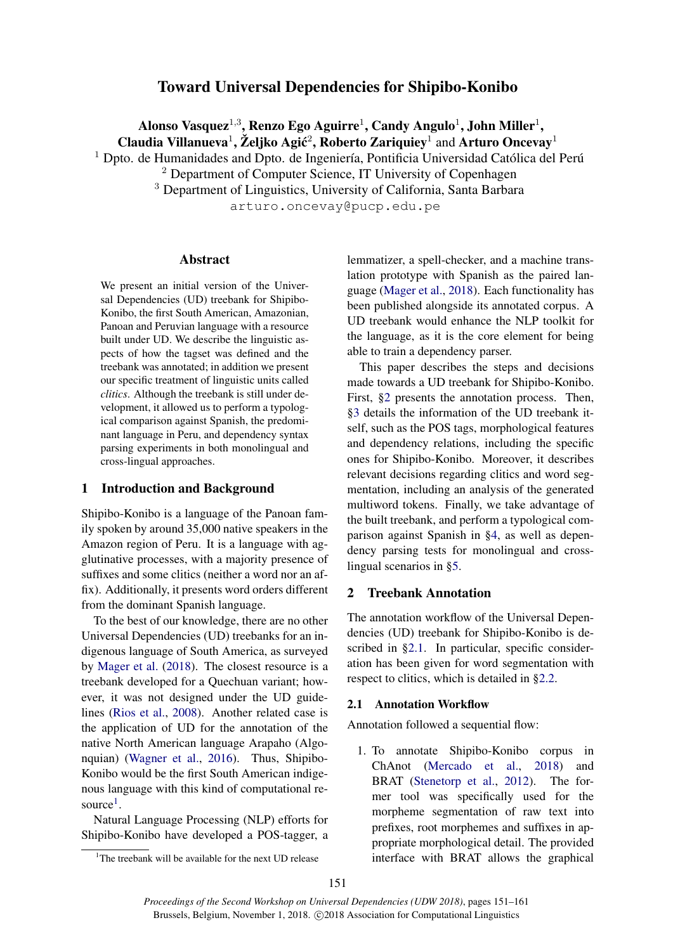# Toward Universal Dependencies for Shipibo-Konibo

Alonso Vasquez $^{1,3}$ , Renzo Ego Aguirre $^1$ , Candy Angulo $^1$ , John Miller $^1,$ 

Claudia Villanueva<sup>1</sup>, Željko Agić<sup>2</sup>, Roberto Zariquiey<sup>1</sup> and Arturo Oncevay<sup>1</sup>

<sup>1</sup> Dpto. de Humanidades and Dpto. de Ingeniería, Pontificia Universidad Católica del Perú

<sup>2</sup> Department of Computer Science, IT University of Copenhagen

<sup>3</sup> Department of Linguistics, University of California, Santa Barbara

arturo.oncevay@pucp.edu.pe

### Abstract

We present an initial version of the Universal Dependencies (UD) treebank for Shipibo-Konibo, the first South American, Amazonian, Panoan and Peruvian language with a resource built under UD. We describe the linguistic aspects of how the tagset was defined and the treebank was annotated; in addition we present our specific treatment of linguistic units called *clitics*. Although the treebank is still under development, it allowed us to perform a typological comparison against Spanish, the predominant language in Peru, and dependency syntax parsing experiments in both monolingual and cross-lingual approaches.

# 1 Introduction and Background

Shipibo-Konibo is a language of the Panoan family spoken by around 35,000 native speakers in the Amazon region of Peru. It is a language with agglutinative processes, with a majority presence of suffixes and some clitics (neither a word nor an affix). Additionally, it presents word orders different from the dominant Spanish language.

To the best of our knowledge, there are no other Universal Dependencies (UD) treebanks for an indigenous language of South America, as surveyed by [Mager et al.](#page-9-0) [\(2018\)](#page-9-0). The closest resource is a treebank developed for a Quechuan variant; however, it was not designed under the UD guidelines [\(Rios et al.,](#page-10-0) [2008\)](#page-10-0). Another related case is the application of UD for the annotation of the native North American language Arapaho (Algonquian) [\(Wagner et al.,](#page-10-1) [2016\)](#page-10-1). Thus, Shipibo-Konibo would be the first South American indigenous language with this kind of computational re-source<sup>[1](#page-0-0)</sup>.

Natural Language Processing (NLP) efforts for Shipibo-Konibo have developed a POS-tagger, a

lemmatizer, a spell-checker, and a machine translation prototype with Spanish as the paired language [\(Mager et al.,](#page-9-0) [2018\)](#page-9-0). Each functionality has been published alongside its annotated corpus. A UD treebank would enhance the NLP toolkit for the language, as it is the core element for being able to train a dependency parser.

This paper describes the steps and decisions made towards a UD treebank for Shipibo-Konibo. First, [§2](#page-0-1) presents the annotation process. Then, [§3](#page-1-0) details the information of the UD treebank itself, such as the POS tags, morphological features and dependency relations, including the specific ones for Shipibo-Konibo. Moreover, it describes relevant decisions regarding clitics and word segmentation, including an analysis of the generated multiword tokens. Finally, we take advantage of the built treebank, and perform a typological comparison against Spanish in [§4,](#page-5-0) as well as dependency parsing tests for monolingual and crosslingual scenarios in [§5.](#page-6-0)

# <span id="page-0-1"></span>2 Treebank Annotation

The annotation workflow of the Universal Dependencies (UD) treebank for Shipibo-Konibo is described in [§2.1.](#page-0-2) In particular, specific consideration has been given for word segmentation with respect to clitics, which is detailed in [§2.2.](#page-1-1)

# <span id="page-0-2"></span>2.1 Annotation Workflow

Annotation followed a sequential flow:

1. To annotate Shipibo-Konibo corpus in ChAnot [\(Mercado et al.,](#page-9-1) [2018\)](#page-9-1) and BRAT [\(Stenetorp et al.,](#page-10-2) [2012\)](#page-10-2). The former tool was specifically used for the morpheme segmentation of raw text into prefixes, root morphemes and suffixes in appropriate morphological detail. The provided interface with BRAT allows the graphical

<span id="page-0-0"></span><sup>&</sup>lt;sup>1</sup>The treebank will be available for the next UD release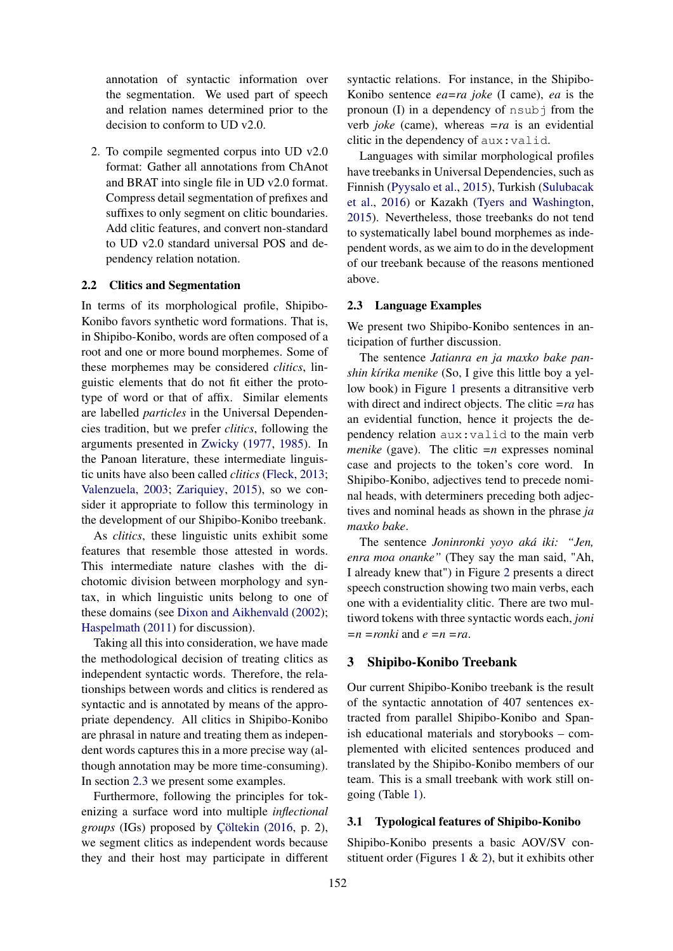annotation of syntactic information over the segmentation. We used part of speech and relation names determined prior to the decision to conform to UD v2.0.

2. To compile segmented corpus into UD v2.0 format: Gather all annotations from ChAnot and BRAT into single file in UD v2.0 format. Compress detail segmentation of prefixes and suffixes to only segment on clitic boundaries. Add clitic features, and convert non-standard to UD v2.0 standard universal POS and dependency relation notation.

# <span id="page-1-1"></span>2.2 Clitics and Segmentation

In terms of its morphological profile, Shipibo-Konibo favors synthetic word formations. That is, in Shipibo-Konibo, words are often composed of a root and one or more bound morphemes. Some of these morphemes may be considered *clitics*, linguistic elements that do not fit either the prototype of word or that of affix. Similar elements are labelled *particles* in the Universal Dependencies tradition, but we prefer *clitics*, following the arguments presented in [Zwicky](#page-10-3) [\(1977,](#page-10-3) [1985\)](#page-10-4). In the Panoan literature, these intermediate linguistic units have also been called *clitics* [\(Fleck,](#page-9-2) [2013;](#page-9-2) [Valenzuela,](#page-10-5) [2003;](#page-10-5) [Zariquiey,](#page-10-6) [2015\)](#page-10-6), so we consider it appropriate to follow this terminology in the development of our Shipibo-Konibo treebank.

As *clitics*, these linguistic units exhibit some features that resemble those attested in words. This intermediate nature clashes with the dichotomic division between morphology and syntax, in which linguistic units belong to one of these domains (see [Dixon and Aikhenvald](#page-8-0) [\(2002\)](#page-8-0); [Haspelmath](#page-9-3) [\(2011\)](#page-9-3) for discussion).

Taking all this into consideration, we have made the methodological decision of treating clitics as independent syntactic words. Therefore, the relationships between words and clitics is rendered as syntactic and is annotated by means of the appropriate dependency. All clitics in Shipibo-Konibo are phrasal in nature and treating them as independent words captures this in a more precise way (although annotation may be more time-consuming). In section [2.3](#page-1-2) we present some examples.

Furthermore, following the principles for tokenizing a surface word into multiple *inflectional groups* (IGs) proposed by [Çöltekin](#page-8-1) [\(2016,](#page-8-1) p. 2), we segment clitics as independent words because they and their host may participate in different

syntactic relations. For instance, in the Shipibo-Konibo sentence *ea=ra joke* (I came), *ea* is the pronoun (I) in a dependency of  $nsub$  from the verb *joke* (came), whereas *=ra* is an evidential clitic in the dependency of aux:valid.

Languages with similar morphological profiles have treebanks in Universal Dependencies, such as Finnish [\(Pyysalo et al.,](#page-10-7) [2015\)](#page-10-7), Turkish [\(Sulubacak](#page-10-8) [et al.,](#page-10-8) [2016\)](#page-10-8) or Kazakh [\(Tyers and Washington,](#page-10-9) [2015\)](#page-10-9). Nevertheless, those treebanks do not tend to systematically label bound morphemes as independent words, as we aim to do in the development of our treebank because of the reasons mentioned above.

#### <span id="page-1-2"></span>2.3 Language Examples

We present two Shipibo-Konibo sentences in anticipation of further discussion.

The sentence *Jatianra en ja maxko bake panshin kírika menike* (So, I give this little boy a yellow book) in Figure [1](#page-2-0) presents a ditransitive verb with direct and indirect objects. The clitic *=ra* has an evidential function, hence it projects the dependency relation aux:valid to the main verb *menike* (gave). The clitic  $=n$  expresses nominal case and projects to the token's core word. In Shipibo-Konibo, adjectives tend to precede nominal heads, with determiners preceding both adjectives and nominal heads as shown in the phrase *ja maxko bake*.

The sentence *Joninronki yoyo aká iki: "Jen, enra moa onanke"* (They say the man said, "Ah, I already knew that") in Figure [2](#page-2-0) presents a direct speech construction showing two main verbs, each one with a evidentiality clitic. There are two multiword tokens with three syntactic words each, *joni =n =ronki* and *e =n =ra*.

### <span id="page-1-0"></span>3 Shipibo-Konibo Treebank

Our current Shipibo-Konibo treebank is the result of the syntactic annotation of 407 sentences extracted from parallel Shipibo-Konibo and Spanish educational materials and storybooks – complemented with elicited sentences produced and translated by the Shipibo-Konibo members of our team. This is a small treebank with work still ongoing (Table [1\)](#page-2-1).

# 3.1 Typological features of Shipibo-Konibo

Shipibo-Konibo presents a basic AOV/SV con-stituent order (Figures [1](#page-2-0)  $\&$  [2\)](#page-2-0), but it exhibits other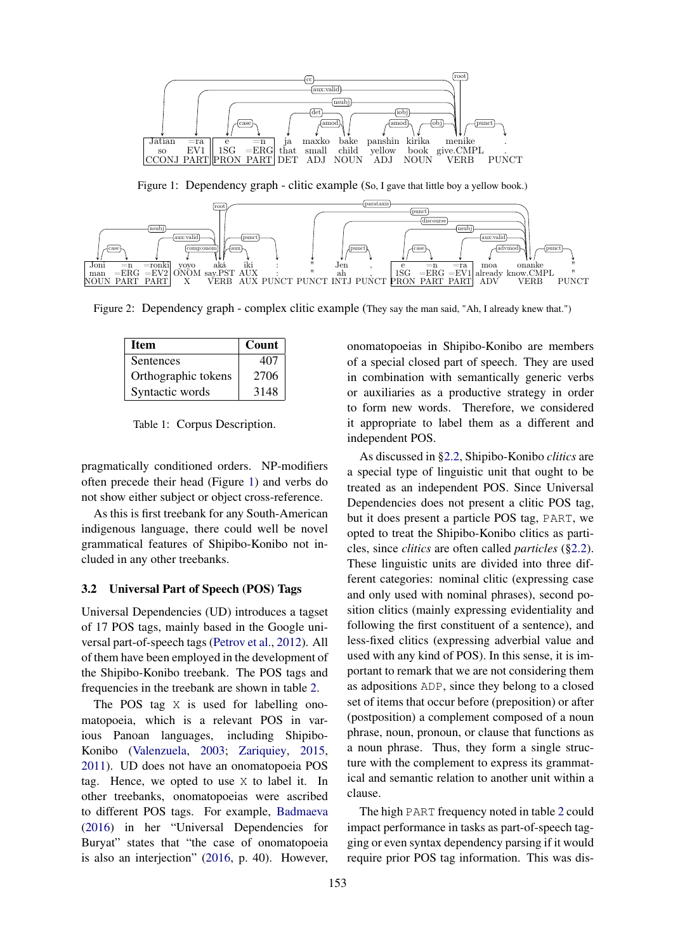<span id="page-2-0"></span>

Figure 1: Dependency graph - clitic example (So, I gave that little boy a yellow book.)



<span id="page-2-1"></span>Figure 2: Dependency graph - complex clitic example (They say the man said, "Ah, I already knew that.")

| Item                | Count |
|---------------------|-------|
| <b>Sentences</b>    | 407   |
| Orthographic tokens | 2706  |
| Syntactic words     | 3148  |

Table 1: Corpus Description.

pragmatically conditioned orders. NP-modifiers often precede their head (Figure [1\)](#page-2-0) and verbs do not show either subject or object cross-reference.

As this is first treebank for any South-American indigenous language, there could well be novel grammatical features of Shipibo-Konibo not included in any other treebanks.

### <span id="page-2-2"></span>3.2 Universal Part of Speech (POS) Tags

1 of 17 POS tags, mainly based in the Google uni-Universal Dependencies (UD) introduces a tagset versal part-of-speech tags [\(Petrov et al.,](#page-9-4) [2012\)](#page-9-4). All of them have been employed in the development of the Shipibo-Konibo treebank. The POS tags and frequencies in the treebank are shown in table [2.](#page-3-0)

The POS tag X is used for labelling onomatopoeia, which is a relevant POS in various Panoan languages, including Shipibo-Konibo [\(Valenzuela,](#page-10-5) [2003;](#page-10-5) [Zariquiey,](#page-10-6) [2015,](#page-10-6) [2011\)](#page-10-10). UD does not have an onomatopoeia POS tag. Hence, we opted to use X to label it. In other treebanks, onomatopoeias were ascribed to different POS tags. For example, [Badmaeva](#page-8-2) [\(2016\)](#page-8-2) in her "Universal Dependencies for Buryat" states that "the case of onomatopoeia is also an interjection" [\(2016,](#page-8-2) p. 40). However,

onomatopoeias in Shipibo-Konibo are members of a special closed part of speech. They are used in combination with semantically generic verbs or auxiliaries as a productive strategy in order to form new words. Therefore, we considered it appropriate to label them as a different and independent POS.

As discussed in [§2.2,](#page-1-1) Shipibo-Konibo *clitics* are a special type of linguistic unit that ought to be treated as an independent POS. Since Universal Dependencies does not present a clitic POS tag, but it does present a particle POS tag, PART, we opted to treat the Shipibo-Konibo clitics as particles, since *clitics* are often called *particles* ([§2.2\)](#page-1-1). These linguistic units are divided into three different categories: nominal clitic (expressing case and only used with nominal phrases), second position clitics (mainly expressing evidentiality and following the first constituent of a sentence), and less-fixed clitics (expressing adverbial value and used with any kind of POS). In this sense, it is important to remark that we are not considering them as adpositions ADP, since they belong to a closed set of items that occur before (preposition) or after (postposition) a complement composed of a noun phrase, noun, pronoun, or clause that functions as a noun phrase. Thus, they form a single structure with the complement to express its grammatical and semantic relation to another unit within a clause.

The high PART frequency noted in table [2](#page-3-0) could impact performance in tasks as part-of-speech tagging or even syntax dependency parsing if it would require prior POS tag information. This was dis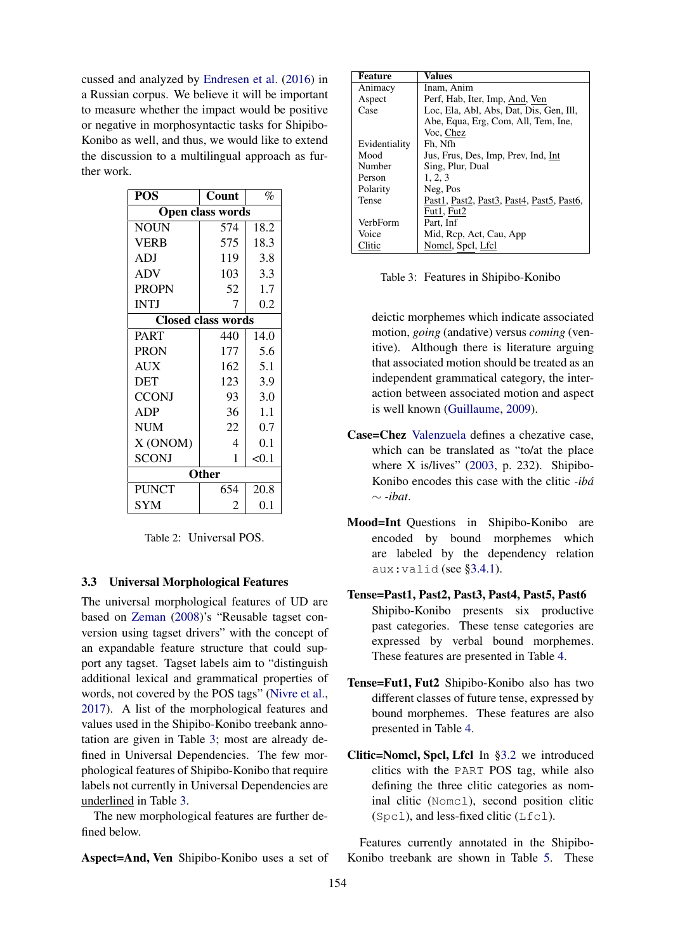cussed and analyzed by [Endresen et al.](#page-9-5) [\(2016\)](#page-9-5) in a Russian corpus. We believe it will be important to measure whether the impact would be positive or negative in morphosyntactic tasks for Shipibo-Konibo as well, and thus, we would like to extend the discussion to a multilingual approach as further work.

<span id="page-3-0"></span>

| <b>POS</b>              | Count                     | %     |  |  |
|-------------------------|---------------------------|-------|--|--|
| <b>Open class words</b> |                           |       |  |  |
| <b>NOUN</b>             | 574                       | 18.2  |  |  |
| <b>VERB</b>             | 575                       | 18.3  |  |  |
| <b>ADJ</b>              | 119                       | 3.8   |  |  |
| <b>ADV</b>              | 103                       | 3.3   |  |  |
| <b>PROPN</b>            | 52                        | 1.7   |  |  |
| <b>INTJ</b>             | 7                         | 0.2   |  |  |
|                         | <b>Closed class words</b> |       |  |  |
| <b>PART</b>             | 440                       | 14.0  |  |  |
| <b>PRON</b>             | 177                       | 5.6   |  |  |
| <b>AUX</b>              | 162                       | 5.1   |  |  |
| <b>DET</b>              | 123                       | 3.9   |  |  |
| <b>CCONJ</b>            | 93                        | 3.0   |  |  |
| ADP                     | 36                        | 1.1   |  |  |
| <b>NUM</b>              | 22                        | 0.7   |  |  |
| X (ONOM)                | 4                         | 0.1   |  |  |
| <b>SCONJ</b>            | 1                         | < 0.1 |  |  |
| <b>Other</b>            |                           |       |  |  |
| <b>PUNCT</b>            | 654                       | 20.8  |  |  |
| <b>SYM</b>              | 2                         | 0.1   |  |  |

Table 2: Universal POS.

## 3.3 Universal Morphological Features

The universal morphological features of UD are based on [Zeman](#page-10-11) [\(2008\)](#page-10-11)'s "Reusable tagset conversion using tagset drivers" with the concept of an expandable feature structure that could support any tagset. Tagset labels aim to "distinguish additional lexical and grammatical properties of words, not covered by the POS tags" [\(Nivre et al.,](#page-9-6) [2017\)](#page-9-6). A list of the morphological features and values used in the Shipibo-Konibo treebank annotation are given in Table [3;](#page-3-1) most are already defined in Universal Dependencies. The few morphological features of Shipibo-Konibo that require labels not currently in Universal Dependencies are underlined in Table [3.](#page-3-1)

The new morphological features are further defined below.

Aspect=And, Ven Shipibo-Konibo uses a set of

<span id="page-3-1"></span>

| <b>Feature</b> | Values                                    |
|----------------|-------------------------------------------|
| Animacy        | Inam, Anim                                |
| Aspect         | Perf, Hab, Iter, Imp, And, Ven            |
| Case           | Loc, Ela, Abl, Abs, Dat, Dis, Gen, Ill,   |
|                | Abe, Equa, Erg, Com, All, Tem, Ine,       |
|                | Voc, Chez                                 |
| Evidentiality  | Fh. Nfh                                   |
| Mood           | Jus, Frus, Des, Imp, Prev, Ind, Int       |
| Number         | Sing, Plur, Dual                          |
| Person         | 1, 2, 3                                   |
| Polarity       | Neg, Pos                                  |
| Tense          | Past1, Past2, Past3, Past4, Past5, Past6, |
|                | Fut1, Fut2                                |
| VerbForm       | Part, Inf                                 |
| Voice          | Mid, Rep, Act, Cau, App                   |
| Clitic         | Nomel, Spel, Lfel                         |

Table 3: Features in Shipibo-Konibo

deictic morphemes which indicate associated motion, *going* (andative) versus *coming* (venitive). Although there is literature arguing that associated motion should be treated as an independent grammatical category, the interaction between associated motion and aspect is well known [\(Guillaume,](#page-9-7) [2009\)](#page-9-7).

- Case=Chez [Valenzuela](#page-10-5) defines a chezative case, which can be translated as "to/at the place where X is/lives" [\(2003,](#page-10-5) p. 232). Shipibo-Konibo encodes this case with the clitic *-ibá* ∼ *-ibat*.
- Mood=Int Questions in Shipibo-Konibo are encoded by bound morphemes which are labeled by the dependency relation aux:valid (see [§3.4.1\)](#page-4-0).
- Tense=Past1, Past2, Past3, Past4, Past5, Past6 Shipibo-Konibo presents six productive past categories. These tense categories are expressed by verbal bound morphemes. These features are presented in Table [4.](#page-4-1)
- Tense=Fut1, Fut2 Shipibo-Konibo also has two different classes of future tense, expressed by bound morphemes. These features are also presented in Table [4.](#page-4-1)
- Clitic=Nomcl, Spcl, Lfcl In [§3.2](#page-2-2) we introduced clitics with the PART POS tag, while also defining the three clitic categories as nominal clitic (Nomcl), second position clitic (Spcl), and less-fixed clitic (Lfcl).

Features currently annotated in the Shipibo-Konibo treebank are shown in Table [5.](#page-4-2) These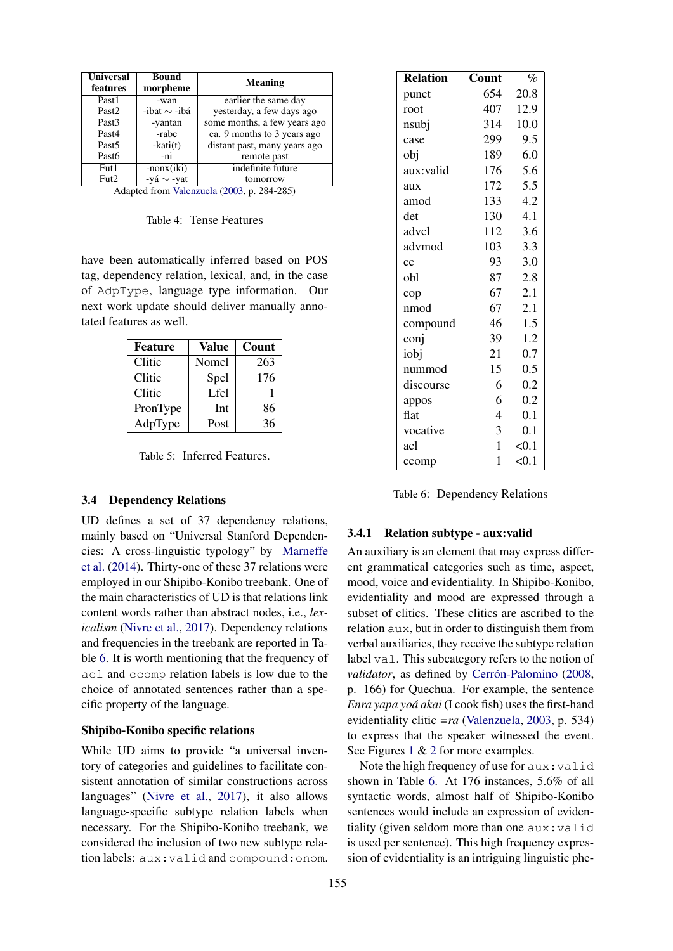<span id="page-4-1"></span>

| Universal<br>features   | Bound<br>morpheme                                              | Meaning                                  |
|-------------------------|----------------------------------------------------------------|------------------------------------------|
| Past1                   | -wan                                                           | earlier the same day                     |
| Past <sub>2</sub>       | -ibat $\sim$ -ibá                                              | yesterday, a few days ago                |
| Past <sub>3</sub>       | -yantan                                                        | some months, a few years ago             |
| Past4                   | -rabe                                                          | ca. 9 months to 3 years ago              |
| Past <sub>5</sub>       | $-kati(t)$                                                     | distant past, many years ago             |
| Past <sub>6</sub>       | -ni                                                            | remote past                              |
| Fut1                    | $-nonx(iki)$                                                   | indefinite future                        |
| Fut2<br>$\cdot$ $\cdot$ | -vá $\sim$ -vat<br>$\sim$<br><b>Contract Contract Contract</b> | tomorrow<br>х.<br>201205<br>$\sqrt{200}$ |

Adapted from [Valenzuela](#page-10-5) [\(2003,](#page-10-5) p. 284-285)

Table 4: Tense Features

have been automatically inferred based on POS tag, dependency relation, lexical, and, in the case of AdpType, language type information. Our next work update should deliver manually annotated features as well.

<span id="page-4-2"></span>

| <b>Feature</b> | Value | Count |
|----------------|-------|-------|
| Clitic         | Nomel | 263   |
| Clitic         | Spcl  | 176   |
| Clitic         | Lfcl  |       |
| PronType       | Int   | 86    |
| AdpType        | Post  | 36    |

Table 5: Inferred Features.

# 3.4 Dependency Relations

UD defines a set of 37 dependency relations, mainly based on "Universal Stanford Dependencies: A cross-linguistic typology" by [Marneffe](#page-9-8) [et al.](#page-9-8) [\(2014\)](#page-9-8). Thirty-one of these 37 relations were employed in our Shipibo-Konibo treebank. One of the main characteristics of UD is that relations link content words rather than abstract nodes, i.e., *lexicalism* [\(Nivre et al.,](#page-9-6) [2017\)](#page-9-6). Dependency relations and frequencies in the treebank are reported in Table [6.](#page-4-3) It is worth mentioning that the frequency of acl and ccomp relation labels is low due to the choice of annotated sentences rather than a specific property of the language.

### Shipibo-Konibo specific relations

While UD aims to provide "a universal inventory of categories and guidelines to facilitate consistent annotation of similar constructions across languages" [\(Nivre et al.,](#page-9-6) [2017\)](#page-9-6), it also allows language-specific subtype relation labels when necessary. For the Shipibo-Konibo treebank, we considered the inclusion of two new subtype relation labels: aux:valid and compound:onom.

<span id="page-4-3"></span>

| <b>Relation</b> | Count          | $\%$  |
|-----------------|----------------|-------|
| punct           | 654            | 20.8  |
| root            | 407            | 12.9  |
| nsubj           | 314            | 10.0  |
| case            | 299            | 9.5   |
| obj             | 189            | 6.0   |
| aux:valid       | 176            | 5.6   |
| aux             | 172            | 5.5   |
| amod            | 133            | 4.2   |
| det             | 130            | 4.1   |
| advcl           | 112            | 3.6   |
| advmod          | 103            | 3.3   |
| cc              | 93             | 3.0   |
| obl             | 87             | 2.8   |
| cop             | 67             | 2.1   |
| nmod            | 67             | 2.1   |
| compound        | 46             | 1.5   |
| conj            | 39             | 1.2   |
| iobj            | 21             | 0.7   |
| nummod          | 15             | 0.5   |
| discourse       | 6              | 0.2   |
| appos           | 6              | 0.2   |
| flat            | $\overline{4}$ | 0.1   |
| vocative        | 3              | 0.1   |
| acl             | $\mathbf{1}$   | < 0.1 |
| ccomp           | 1              | < 0.1 |

Table 6: Dependency Relations

#### <span id="page-4-0"></span>3.4.1 Relation subtype - aux:valid

An auxiliary is an element that may express different grammatical categories such as time, aspect, mood, voice and evidentiality. In Shipibo-Konibo, evidentiality and mood are expressed through a subset of clitics. These clitics are ascribed to the relation aux, but in order to distinguish them from verbal auxiliaries, they receive the subtype relation label val. This subcategory refers to the notion of *validator*, as defined by [Cerrón-Palomino](#page-8-3) [\(2008,](#page-8-3) p. 166) for Quechua. For example, the sentence *Enra yapa yoá akai* (I cook fish) uses the first-hand evidentiality clitic *=ra* [\(Valenzuela,](#page-10-5) [2003,](#page-10-5) p. 534) to express that the speaker witnessed the event. See Figures [1](#page-2-0) & [2](#page-2-0) for more examples.

Note the high frequency of use for aux: valid shown in Table [6.](#page-4-3) At 176 instances, 5.6% of all syntactic words, almost half of Shipibo-Konibo sentences would include an expression of evidentiality (given seldom more than one aux:valid is used per sentence). This high frequency expression of evidentiality is an intriguing linguistic phe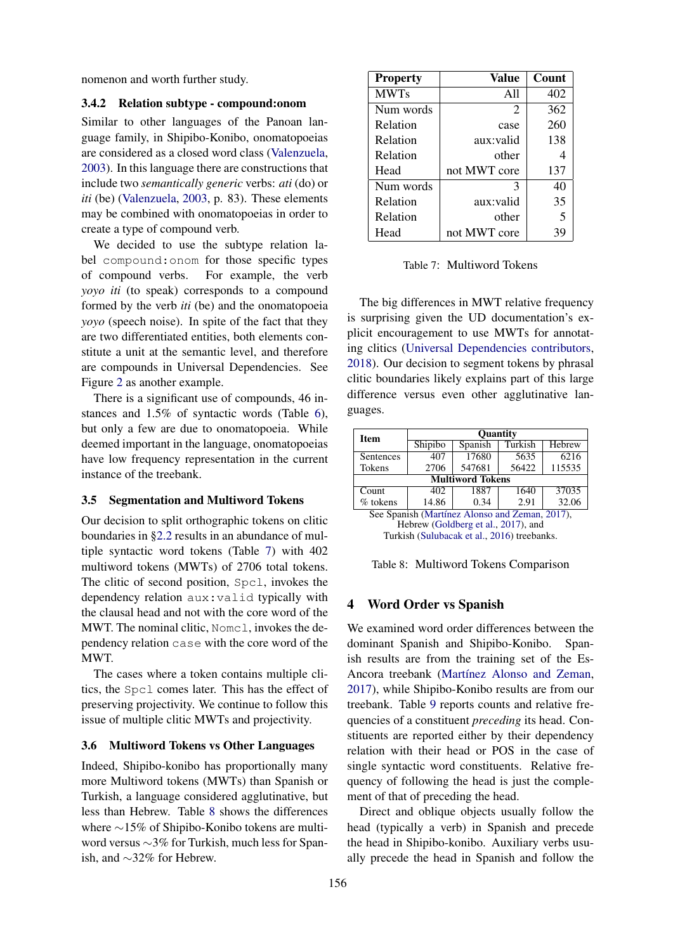nomenon and worth further study.

### 3.4.2 Relation subtype - compound:onom

Similar to other languages of the Panoan language family, in Shipibo-Konibo, onomatopoeias are considered as a closed word class [\(Valenzuela,](#page-10-5) [2003\)](#page-10-5). In this language there are constructions that include two *semantically generic* verbs: *ati* (do) or *iti* (be) [\(Valenzuela,](#page-10-5) [2003,](#page-10-5) p. 83). These elements may be combined with onomatopoeias in order to create a type of compound verb.

We decided to use the subtype relation label compound:onom for those specific types of compound verbs. For example, the verb *yoyo iti* (to speak) corresponds to a compound formed by the verb *iti* (be) and the onomatopoeia *yoyo* (speech noise). In spite of the fact that they are two differentiated entities, both elements constitute a unit at the semantic level, and therefore are compounds in Universal Dependencies. See Figure [2](#page-2-0) as another example.

There is a significant use of compounds, 46 instances and 1.5% of syntactic words (Table [6\)](#page-4-3), but only a few are due to onomatopoeia. While deemed important in the language, onomatopoeias have low frequency representation in the current instance of the treebank.

# 3.5 Segmentation and Multiword Tokens

Our decision to split orthographic tokens on clitic boundaries in [§2.2](#page-1-1) results in an abundance of multiple syntactic word tokens (Table [7\)](#page-5-1) with 402 multiword tokens (MWTs) of 2706 total tokens. The clitic of second position, Spcl, invokes the dependency relation aux:valid typically with the clausal head and not with the core word of the MWT. The nominal clitic, Nome 1, invokes the dependency relation case with the core word of the MWT.

The cases where a token contains multiple clitics, the Spcl comes later. This has the effect of preserving projectivity. We continue to follow this issue of multiple clitic MWTs and projectivity.

### 3.6 Multiword Tokens vs Other Languages

Indeed, Shipibo-konibo has proportionally many more Multiword tokens (MWTs) than Spanish or Turkish, a language considered agglutinative, but less than Hebrew. Table [8](#page-5-2) shows the differences where ∼15% of Shipibo-Konibo tokens are multiword versus ∼3% for Turkish, much less for Spanish, and ∼32% for Hebrew.

<span id="page-5-1"></span>

| <b>Property</b> | Value        | Count                   |
|-----------------|--------------|-------------------------|
| <b>MWTs</b>     | All          | 402                     |
| Num words       | 2            | 362                     |
| Relation        | case         | 260                     |
| Relation        | aux:valid    | 138                     |
| Relation        | other        |                         |
| Head            | not MWT core | 137                     |
| Num words       | 3            | 40                      |
| Relation        | aux:valid    | 35                      |
| Relation        | other        | $\overline{\mathbf{5}}$ |
| Head            | not MWT core |                         |

Table 7: Multiword Tokens

The big differences in MWT relative frequency is surprising given the UD documentation's explicit encouragement to use MWTs for annotating clitics [\(Universal Dependencies contributors,](#page-10-12) [2018\)](#page-10-12). Our decision to segment tokens by phrasal clitic boundaries likely explains part of this large difference versus even other agglutinative languages.

<span id="page-5-2"></span>

| <b>Item</b>                                    | <b>Quantity</b> |                           |         |                   |  |  |  |  |
|------------------------------------------------|-----------------|---------------------------|---------|-------------------|--|--|--|--|
|                                                | Shipibo         | Spanish                   | Turkish | <b>Hebrew</b>     |  |  |  |  |
| Sentences                                      | 407             | 17680                     | 5635    | $\overline{62}16$ |  |  |  |  |
| Tokens                                         | 2706            | 56422<br>115535<br>547681 |         |                   |  |  |  |  |
| <b>Multiword Tokens</b>                        |                 |                           |         |                   |  |  |  |  |
| Count                                          | 402             | 1887                      | 1640    | 37035             |  |  |  |  |
| $%$ tokens                                     | 14.86           | 0.34                      | 2.91    | 32.06             |  |  |  |  |
| See Spanish (Martínez Alonso and Zeman, 2017), |                 |                           |         |                   |  |  |  |  |

Hebrew [\(Goldberg et al.,](#page-9-10) [2017\)](#page-9-10), and Turkish [\(Sulubacak et al.,](#page-10-8) [2016\)](#page-10-8) treebanks.

# <span id="page-5-0"></span>4 Word Order vs Spanish

We examined word order differences between the dominant Spanish and Shipibo-Konibo. Spanish results are from the training set of the Es-Ancora treebank [\(Martínez Alonso and Zeman,](#page-9-9) [2017\)](#page-9-9), while Shipibo-Konibo results are from our treebank. Table [9](#page-6-1) reports counts and relative frequencies of a constituent *preceding* its head. Constituents are reported either by their dependency relation with their head or POS in the case of single syntactic word constituents. Relative frequency of following the head is just the complement of that of preceding the head.

Direct and oblique objects usually follow the head (typically a verb) in Spanish and precede the head in Shipibo-konibo. Auxiliary verbs usually precede the head in Spanish and follow the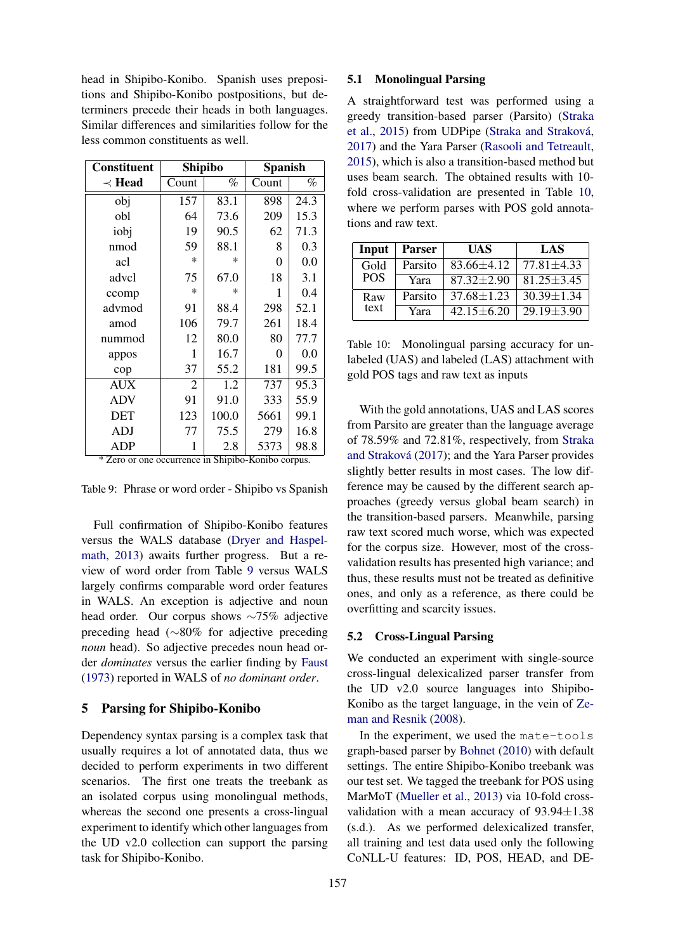head in Shipibo-Konibo. Spanish uses prepositions and Shipibo-Konibo postpositions, but determiners precede their heads in both languages. Similar differences and similarities follow for the less common constituents as well.

<span id="page-6-1"></span>

| <b>Constituent</b> | <b>Shipibo</b> |        | <b>Spanish</b> |      |
|--------------------|----------------|--------|----------------|------|
| $\prec$ Head       | Count          | %      | Count          | %    |
| obj                | 157            | 83.1   | 898            | 24.3 |
| obl                | 64             | 73.6   | 209            | 15.3 |
| iobj               | 19             | 90.5   | 62             | 71.3 |
| nmod               | 59             | 88.1   | 8              | 0.3  |
| acl                | $\ast$         | $\ast$ | 0              | 0.0  |
| advcl              | 75             | 67.0   | 18             | 3.1  |
| ccomp              | $\ast$         | $\ast$ | 1              | 0.4  |
| advmod             | 91             | 88.4   | 298            | 52.1 |
| amod               | 106            | 79.7   | 261            | 18.4 |
| nummod             | 12             | 80.0   | 80             | 77.7 |
| appos              | 1              | 16.7   | 0              | 0.0  |
| cop                | 37             | 55.2   | 181            | 99.5 |
| <b>AUX</b>         | $\overline{2}$ | 1.2    | 737            | 95.3 |
| <b>ADV</b>         | 91             | 91.0   | 333            | 55.9 |
| DET                | 123            | 100.0  | 5661           | 99.1 |
| ADJ                | 77             | 75.5   | 279            | 16.8 |
| <b>ADP</b>         | 1              | 2.8    | 5373           | 98.8 |

\* Zero or one occurrence in Shipibo-Konibo corpus.

Table 9: Phrase or word order - Shipibo vs Spanish

Full confirmation of Shipibo-Konibo features versus the WALS database [\(Dryer and Haspel](#page-9-11)[math,](#page-9-11) [2013\)](#page-9-11) awaits further progress. But a review of word order from Table [9](#page-6-1) versus WALS largely confirms comparable word order features in WALS. An exception is adjective and noun head order. Our corpus shows ∼75% adjective preceding head (∼80% for adjective preceding *noun* head). So adjective precedes noun head order *dominates* versus the earlier finding by [Faust](#page-9-12) [\(1973\)](#page-9-12) reported in WALS of *no dominant order*.

### <span id="page-6-0"></span>5 Parsing for Shipibo-Konibo

Dependency syntax parsing is a complex task that usually requires a lot of annotated data, thus we decided to perform experiments in two different scenarios. The first one treats the treebank as an isolated corpus using monolingual methods, whereas the second one presents a cross-lingual experiment to identify which other languages from the UD v2.0 collection can support the parsing task for Shipibo-Konibo.

### 5.1 Monolingual Parsing

A straightforward test was performed using a greedy transition-based parser (Parsito) [\(Straka](#page-10-13) [et al.,](#page-10-13) [2015\)](#page-10-13) from UDPipe [\(Straka and Straková,](#page-10-14) [2017\)](#page-10-14) and the Yara Parser [\(Rasooli and Tetreault,](#page-10-15) [2015\)](#page-10-15), which is also a transition-based method but uses beam search. The obtained results with 10 fold cross-validation are presented in Table [10,](#page-6-2) where we perform parses with POS gold annotations and raw text.

<span id="page-6-2"></span>

| Input      | Parser  | UAS              | LAS              |
|------------|---------|------------------|------------------|
| Gold       | Parsito | $83.66 \pm 4.12$ | $77.81 \pm 4.33$ |
| <b>POS</b> | Yara    | $87.32 \pm 2.90$ | $81.25 \pm 3.45$ |
| Raw        | Parsito | $37.68 \pm 1.23$ | $30.39 \pm 1.34$ |
| text       | Yara    | $42.15 + 6.20$   | $29.19 \pm 3.90$ |

Table 10: Monolingual parsing accuracy for unlabeled (UAS) and labeled (LAS) attachment with gold POS tags and raw text as inputs

With the gold annotations, UAS and LAS scores from Parsito are greater than the language average of 78.59% and 72.81%, respectively, from [Straka](#page-10-14) [and Straková](#page-10-14) [\(2017\)](#page-10-14); and the Yara Parser provides slightly better results in most cases. The low difference may be caused by the different search approaches (greedy versus global beam search) in the transition-based parsers. Meanwhile, parsing raw text scored much worse, which was expected for the corpus size. However, most of the crossvalidation results has presented high variance; and thus, these results must not be treated as definitive ones, and only as a reference, as there could be overfitting and scarcity issues.

# 5.2 Cross-Lingual Parsing

We conducted an experiment with single-source cross-lingual delexicalized parser transfer from the UD v2.0 source languages into Shipibo-Konibo as the target language, in the vein of [Ze](#page-10-16)[man and Resnik](#page-10-16) [\(2008\)](#page-10-16).

In the experiment, we used the mate-tools graph-based parser by [Bohnet](#page-8-4) [\(2010\)](#page-8-4) with default settings. The entire Shipibo-Konibo treebank was our test set. We tagged the treebank for POS using MarMoT [\(Mueller et al.,](#page-9-13) [2013\)](#page-9-13) via 10-fold crossvalidation with a mean accuracy of  $93.94 \pm 1.38$ (s.d.). As we performed delexicalized transfer, all training and test data used only the following CoNLL-U features: ID, POS, HEAD, and DE-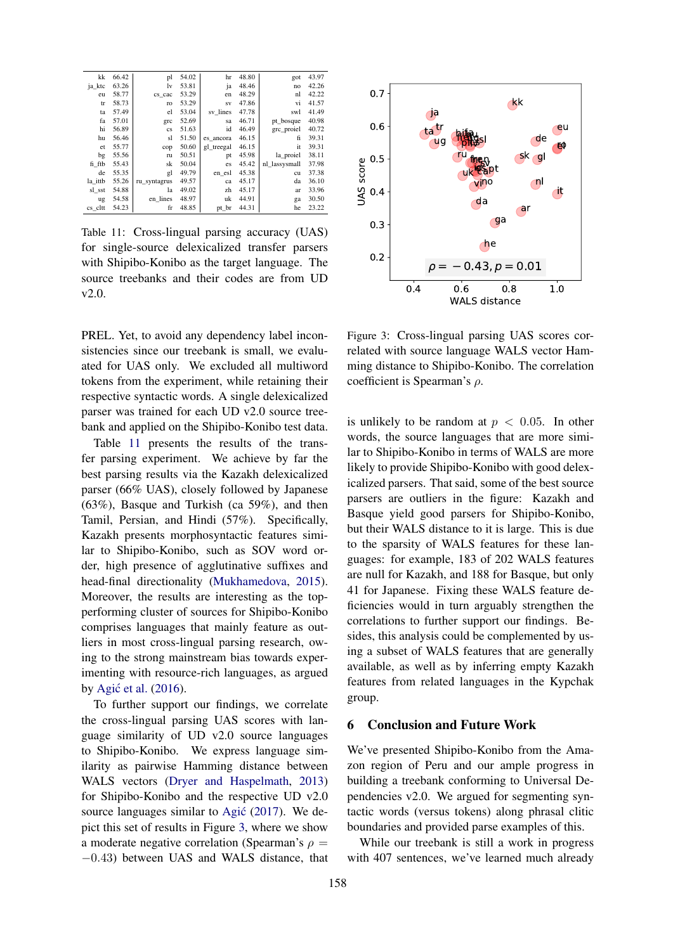<span id="page-7-0"></span>

| kk      | 66.42 | pl           | 54.02 | hr         | 48.80 | got           | 43.97 |
|---------|-------|--------------|-------|------------|-------|---------------|-------|
| ja ktc  | 63.26 | lv           | 53.81 | ja         | 48.46 | no            | 42.26 |
| eu      | 58.77 | cs cac       | 53.29 | en         | 48.29 | nl            | 42.22 |
| tr      | 58.73 | ro           | 53.29 | <b>SV</b>  | 47.86 | vi            | 41.57 |
| ta      | 57.49 | el           | 53.04 | sv lines   | 47.78 | swl           | 41.49 |
| fa      | 57.01 | grc          | 52.69 | sa         | 46.71 | pt bosque     | 40.98 |
| hi      | 56.89 | cs           | 51.63 | id         | 46.49 | grc proiel    | 40.72 |
| hu      | 56.46 | sl           | 51.50 | es ancora  | 46.15 | fi            | 39.31 |
| et      | 55.77 | cop          | 50.60 | gl treegal | 46.15 | it            | 39.31 |
| bg      | 55.56 | ru           | 50.51 | pt         | 45.98 | la proiel     | 38.11 |
| fi ftb  | 55.43 | sk           | 50.04 | es         | 45.42 | nl lassysmall | 37.98 |
| de      | 55.35 | gl           | 49.79 | en_esl     | 45.38 | cu            | 37.38 |
| la ittb | 55.26 | ru syntagrus | 49.57 | ca         | 45.17 | da            | 36.10 |
| sl sst  | 54.88 | la           | 49.02 | zh         | 45.17 | ar            | 33.96 |
| ug      | 54.58 | en lines     | 48.97 | uk         | 44.91 | ga            | 30.50 |
| cs cltt | 54.23 | fr           | 48.85 | pt_br      | 44.31 | he            | 23.22 |

Table 11: Cross-lingual parsing accuracy (UAS) for single-source delexicalized transfer parsers with Shipibo-Konibo as the target language. The source treebanks and their codes are from UD v2.0.

PREL. Yet, to avoid any dependency label inconsistencies since our treebank is small, we evaluated for UAS only. We excluded all multiword tokens from the experiment, while retaining their respective syntactic words. A single delexicalized parser was trained for each UD v2.0 source treebank and applied on the Shipibo-Konibo test data.

Table [11](#page-7-0) presents the results of the transfer parsing experiment. We achieve by far the best parsing results via the Kazakh delexicalized parser (66% UAS), closely followed by Japanese (63%), Basque and Turkish (ca 59%), and then Tamil, Persian, and Hindi (57%). Specifically, Kazakh presents morphosyntactic features similar to Shipibo-Konibo, such as SOV word order, high presence of agglutinative suffixes and head-final directionality [\(Mukhamedova,](#page-9-14) [2015\)](#page-9-14). Moreover, the results are interesting as the topperforming cluster of sources for Shipibo-Konibo comprises languages that mainly feature as outliers in most cross-lingual parsing research, owing to the strong mainstream bias towards experimenting with resource-rich languages, as argued by Agić et al.  $(2016)$ .

To further support our findings, we correlate the cross-lingual parsing UAS scores with language similarity of UD v2.0 source languages to Shipibo-Konibo. We express language similarity as pairwise Hamming distance between WALS vectors [\(Dryer and Haspelmath,](#page-9-11) [2013\)](#page-9-11) for Shipibo-Konibo and the respective UD v2.0 source languages similar to Agić [\(2017\)](#page-8-6). We depict this set of results in Figure [3,](#page-7-1) where we show a moderate negative correlation (Spearman's  $\rho =$ −0.43) between UAS and WALS distance, that

<span id="page-7-1"></span>

Figure 3: Cross-lingual parsing UAS scores correlated with source language WALS vector Hamming distance to Shipibo-Konibo. The correlation coefficient is Spearman's  $\rho$ .

is unlikely to be random at  $p < 0.05$ . In other words, the source languages that are more similar to Shipibo-Konibo in terms of WALS are more likely to provide Shipibo-Konibo with good delexicalized parsers. That said, some of the best source parsers are outliers in the figure: Kazakh and Basque yield good parsers for Shipibo-Konibo, but their WALS distance to it is large. This is due to the sparsity of WALS features for these languages: for example, 183 of 202 WALS features are null for Kazakh, and 188 for Basque, but only 41 for Japanese. Fixing these WALS feature deficiencies would in turn arguably strengthen the correlations to further support our findings. Besides, this analysis could be complemented by using a subset of WALS features that are generally available, as well as by inferring empty Kazakh features from related languages in the Kypchak group.

### 6 Conclusion and Future Work

We've presented Shipibo-Konibo from the Amazon region of Peru and our ample progress in building a treebank conforming to Universal Dependencies v2.0. We argued for segmenting syntactic words (versus tokens) along phrasal clitic boundaries and provided parse examples of this.

While our treebank is still a work in progress with 407 sentences, we've learned much already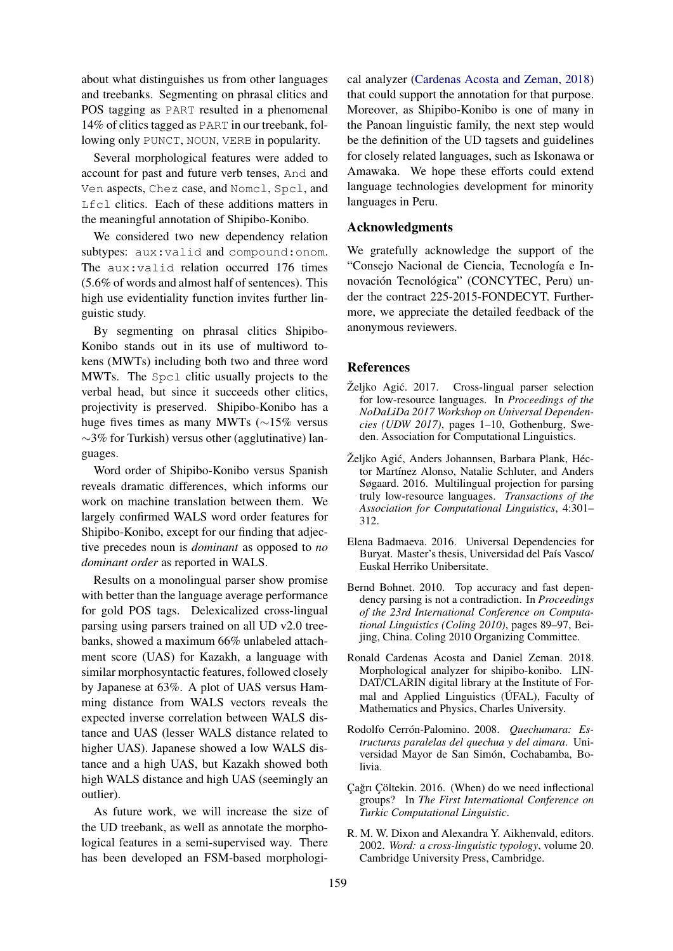about what distinguishes us from other languages and treebanks. Segmenting on phrasal clitics and POS tagging as PART resulted in a phenomenal 14% of clitics tagged as PART in our treebank, following only PUNCT, NOUN, VERB in popularity.

Several morphological features were added to account for past and future verb tenses, And and Ven aspects, Chez case, and Nomcl, Spcl, and Lfcl clitics. Each of these additions matters in the meaningful annotation of Shipibo-Konibo.

We considered two new dependency relation subtypes: aux:valid and compound:onom. The aux:valid relation occurred 176 times (5.6% of words and almost half of sentences). This high use evidentiality function invites further linguistic study.

By segmenting on phrasal clitics Shipibo-Konibo stands out in its use of multiword tokens (MWTs) including both two and three word MWTs. The Spcl clitic usually projects to the verbal head, but since it succeeds other clitics, projectivity is preserved. Shipibo-Konibo has a huge fives times as many MWTs (∼15% versus ∼3% for Turkish) versus other (agglutinative) languages.

Word order of Shipibo-Konibo versus Spanish reveals dramatic differences, which informs our work on machine translation between them. We largely confirmed WALS word order features for Shipibo-Konibo, except for our finding that adjective precedes noun is *dominant* as opposed to *no dominant order* as reported in WALS.

Results on a monolingual parser show promise with better than the language average performance for gold POS tags. Delexicalized cross-lingual parsing using parsers trained on all UD v2.0 treebanks, showed a maximum 66% unlabeled attachment score (UAS) for Kazakh, a language with similar morphosyntactic features, followed closely by Japanese at 63%. A plot of UAS versus Hamming distance from WALS vectors reveals the expected inverse correlation between WALS distance and UAS (lesser WALS distance related to higher UAS). Japanese showed a low WALS distance and a high UAS, but Kazakh showed both high WALS distance and high UAS (seemingly an outlier).

As future work, we will increase the size of the UD treebank, as well as annotate the morphological features in a semi-supervised way. There has been developed an FSM-based morphologi-

cal analyzer [\(Cardenas Acosta and Zeman,](#page-8-7) [2018\)](#page-8-7) that could support the annotation for that purpose. Moreover, as Shipibo-Konibo is one of many in the Panoan linguistic family, the next step would be the definition of the UD tagsets and guidelines for closely related languages, such as Iskonawa or Amawaka. We hope these efforts could extend language technologies development for minority languages in Peru.

# Acknowledgments

We gratefully acknowledge the support of the "Consejo Nacional de Ciencia, Tecnología e Innovación Tecnológica" (CONCYTEC, Peru) under the contract 225-2015-FONDECYT. Furthermore, we appreciate the detailed feedback of the anonymous reviewers.

# **References**

- <span id="page-8-6"></span>Željko Agić. 2017. Cross-lingual parser selection for low-resource languages. In *Proceedings of the NoDaLiDa 2017 Workshop on Universal Dependencies (UDW 2017)*, pages 1–10, Gothenburg, Sweden. Association for Computational Linguistics.
- <span id="page-8-5"></span>Željko Agić, Anders Johannsen, Barbara Plank, Héctor Martínez Alonso, Natalie Schluter, and Anders Søgaard. 2016. Multilingual projection for parsing truly low-resource languages. *Transactions of the Association for Computational Linguistics*, 4:301– 312.
- <span id="page-8-2"></span>Elena Badmaeva. 2016. Universal Dependencies for Buryat. Master's thesis, Universidad del País Vasco/ Euskal Herriko Unibersitate.
- <span id="page-8-4"></span>Bernd Bohnet. 2010. Top accuracy and fast dependency parsing is not a contradiction. In *Proceedings of the 23rd International Conference on Computational Linguistics (Coling 2010)*, pages 89–97, Beijing, China. Coling 2010 Organizing Committee.
- <span id="page-8-7"></span>Ronald Cardenas Acosta and Daniel Zeman. 2018. Morphological analyzer for shipibo-konibo. LIN-DAT/CLARIN digital library at the Institute of Formal and Applied Linguistics (ÚFAL), Faculty of Mathematics and Physics, Charles University.
- <span id="page-8-3"></span>Rodolfo Cerrón-Palomino. 2008. *Quechumara: Estructuras paralelas del quechua y del aimara*. Universidad Mayor de San Simón, Cochabamba, Bolivia.
- <span id="page-8-1"></span>Çağrı Çöltekin. 2016. (When) do we need inflectional groups? In *The First International Conference on Turkic Computational Linguistic*.
- <span id="page-8-0"></span>R. M. W. Dixon and Alexandra Y. Aikhenvald, editors. 2002. *Word: a cross-linguistic typology*, volume 20. Cambridge University Press, Cambridge.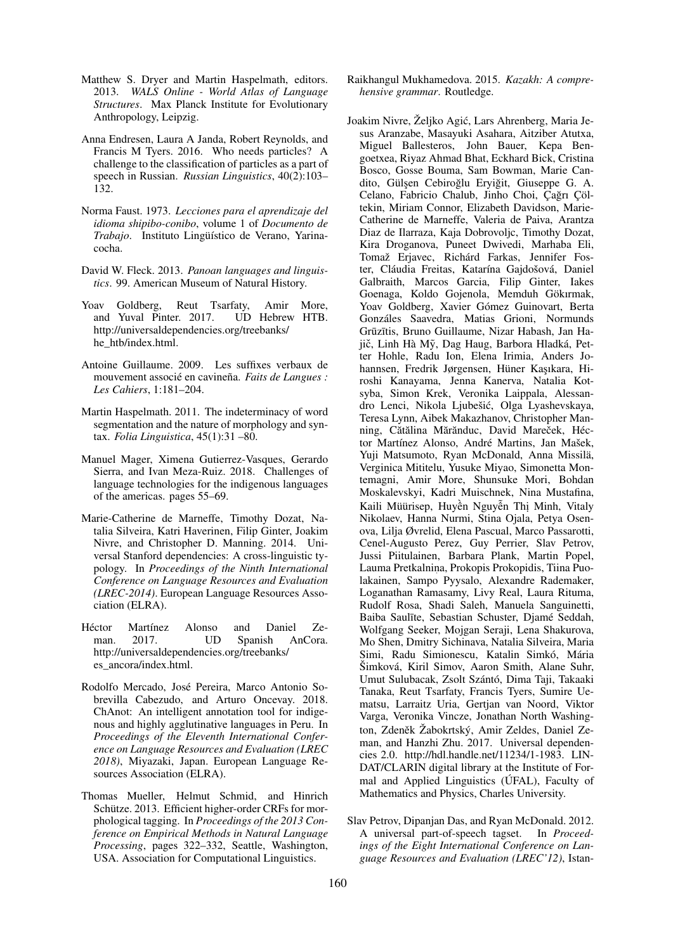- <span id="page-9-11"></span>Matthew S. Dryer and Martin Haspelmath, editors. 2013. *WALS Online - World Atlas of Language Structures*. Max Planck Institute for Evolutionary Anthropology, Leipzig.
- <span id="page-9-5"></span>Anna Endresen, Laura A Janda, Robert Reynolds, and Francis M Tyers. 2016. Who needs particles? A challenge to the classification of particles as a part of speech in Russian. *Russian Linguistics*, 40(2):103– 132.
- <span id="page-9-12"></span>Norma Faust. 1973. *Lecciones para el aprendizaje del idioma shipibo-conibo*, volume 1 of *Documento de Trabajo*. Instituto Lingüístico de Verano, Yarinacocha.
- <span id="page-9-2"></span>David W. Fleck. 2013. *Panoan languages and linguistics*. 99. American Museum of Natural History.
- <span id="page-9-10"></span>Yoav Goldberg, Reut Tsarfaty, Amir More, and Yuval Pinter. 2017. UD Hebrew HTB. http://universaldependencies.org/treebanks/ he\_htb/index.html.
- <span id="page-9-7"></span>Antoine Guillaume. 2009. Les suffixes verbaux de mouvement associé en cavineña. *Faits de Langues : Les Cahiers*, 1:181–204.
- <span id="page-9-3"></span>Martin Haspelmath. 2011. The indeterminacy of word segmentation and the nature of morphology and syntax. *Folia Linguistica*, 45(1):31 –80.
- <span id="page-9-0"></span>Manuel Mager, Ximena Gutierrez-Vasques, Gerardo Sierra, and Ivan Meza-Ruiz. 2018. Challenges of language technologies for the indigenous languages of the americas. pages 55–69.
- <span id="page-9-8"></span>Marie-Catherine de Marneffe, Timothy Dozat, Natalia Silveira, Katri Haverinen, Filip Ginter, Joakim Nivre, and Christopher D. Manning. 2014. Universal Stanford dependencies: A cross-linguistic typology. In *Proceedings of the Ninth International Conference on Language Resources and Evaluation (LREC-2014)*. European Language Resources Association (ELRA).
- <span id="page-9-9"></span>Héctor Martínez Alonso and Daniel Zeman. 2017. UD Spanish AnCora. http://universaldependencies.org/treebanks/ es\_ancora/index.html.
- <span id="page-9-1"></span>Rodolfo Mercado, José Pereira, Marco Antonio Sobrevilla Cabezudo, and Arturo Oncevay. 2018. ChAnot: An intelligent annotation tool for indigenous and highly agglutinative languages in Peru. In *Proceedings of the Eleventh International Conference on Language Resources and Evaluation (LREC 2018)*, Miyazaki, Japan. European Language Resources Association (ELRA).
- <span id="page-9-13"></span>Thomas Mueller, Helmut Schmid, and Hinrich Schütze. 2013. Efficient higher-order CRFs for morphological tagging. In *Proceedings of the 2013 Conference on Empirical Methods in Natural Language Processing*, pages 322–332, Seattle, Washington, USA. Association for Computational Linguistics.
- <span id="page-9-14"></span>Raikhangul Mukhamedova. 2015. *Kazakh: A comprehensive grammar*. Routledge.
- <span id="page-9-6"></span>Joakim Nivre, Željko Agic, Lars Ahrenberg, Maria Je- ´ sus Aranzabe, Masayuki Asahara, Aitziber Atutxa, Miguel Ballesteros, John Bauer, Kepa Bengoetxea, Riyaz Ahmad Bhat, Eckhard Bick, Cristina Bosco, Gosse Bouma, Sam Bowman, Marie Candito, Gülşen Cebiroğlu Eryiğit, Giuseppe G. A. Celano, Fabricio Chalub, Jinho Choi, Cağrı Cöltekin, Miriam Connor, Elizabeth Davidson, Marie-Catherine de Marneffe, Valeria de Paiva, Arantza Diaz de Ilarraza, Kaja Dobrovoljc, Timothy Dozat, Kira Droganova, Puneet Dwivedi, Marhaba Eli, Tomaž Erjavec, Richárd Farkas, Jennifer Foster, Cláudia Freitas, Katarína Gajdošová, Daniel Galbraith, Marcos Garcia, Filip Ginter, Iakes Goenaga, Koldo Gojenola, Memduh Gökırmak, Yoav Goldberg, Xavier Gómez Guinovart, Berta Gonzáles Saavedra, Matias Grioni, Normunds Grūzītis, Bruno Guillaume, Nizar Habash, Jan Hajič, Linh Hà Mỹ, Dag Haug, Barbora Hladká, Petter Hohle, Radu Ion, Elena Irimia, Anders Johannsen, Fredrik Jørgensen, Hüner Kaşıkara, Hiroshi Kanayama, Jenna Kanerva, Natalia Kotsyba, Simon Krek, Veronika Laippala, Alessandro Lenci, Nikola Ljubešic, Olga Lyashevskaya, ´ Teresa Lynn, Aibek Makazhanov, Christopher Manning, Cătălina Mărănduc, David Mareček, Héctor Martínez Alonso, André Martins, Jan Mašek, Yuji Matsumoto, Ryan McDonald, Anna Missilä, Verginica Mititelu, Yusuke Miyao, Simonetta Montemagni, Amir More, Shunsuke Mori, Bohdan Moskalevskyi, Kadri Muischnek, Nina Mustafina, Kaili Müürisep, Huyền Nguyễn Thị Minh, Vitaly Nikolaev, Hanna Nurmi, Stina Ojala, Petya Osenova, Lilja Øvrelid, Elena Pascual, Marco Passarotti, Cenel-Augusto Perez, Guy Perrier, Slav Petrov, Jussi Piitulainen, Barbara Plank, Martin Popel, Lauma Pretkalnina, Prokopis Prokopidis, Tiina Puolakainen, Sampo Pyysalo, Alexandre Rademaker, Loganathan Ramasamy, Livy Real, Laura Rituma, Rudolf Rosa, Shadi Saleh, Manuela Sanguinetti, Baiba Saulīte, Sebastian Schuster, Djamé Seddah, Wolfgang Seeker, Mojgan Seraji, Lena Shakurova, Mo Shen, Dmitry Sichinava, Natalia Silveira, Maria Simi, Radu Simionescu, Katalin Simkó, Mária Šimková, Kiril Simov, Aaron Smith, Alane Suhr, Umut Sulubacak, Zsolt Szántó, Dima Taji, Takaaki Tanaka, Reut Tsarfaty, Francis Tyers, Sumire Uematsu, Larraitz Uria, Gertjan van Noord, Viktor Varga, Veronika Vincze, Jonathan North Washington, Zdeněk Žabokrtský, Amir Zeldes, Daniel Zeman, and Hanzhi Zhu. 2017. Universal dependencies 2.0. http://hdl.handle.net/11234/1-1983. LIN-DAT/CLARIN digital library at the Institute of Formal and Applied Linguistics (ÚFAL), Faculty of Mathematics and Physics, Charles University.
- <span id="page-9-4"></span>Slav Petrov, Dipanjan Das, and Ryan McDonald. 2012. A universal part-of-speech tagset. In *Proceedings of the Eight International Conference on Language Resources and Evaluation (LREC'12)*, Istan-